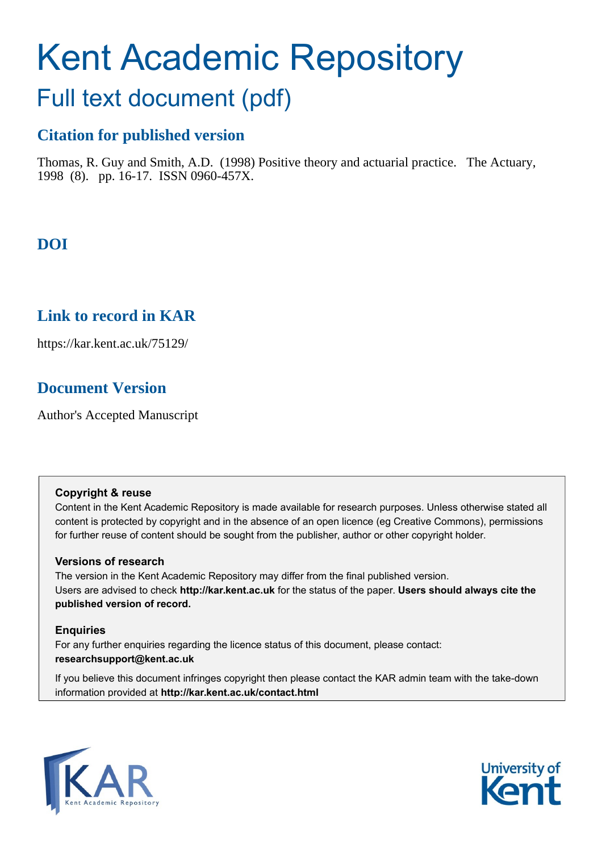# Kent Academic Repository

# Full text document (pdf)

# **Citation for published version**

Thomas, R. Guy and Smith, A.D. (1998) Positive theory and actuarial practice. The Actuary, 1998 (8). pp. 16-17. ISSN 0960-457X.

# **DOI**

# **Link to record in KAR**

https://kar.kent.ac.uk/75129/

# **Document Version**

Author's Accepted Manuscript

# **Copyright & reuse**

Content in the Kent Academic Repository is made available for research purposes. Unless otherwise stated all content is protected by copyright and in the absence of an open licence (eg Creative Commons), permissions for further reuse of content should be sought from the publisher, author or other copyright holder.

# **Versions of research**

The version in the Kent Academic Repository may differ from the final published version. Users are advised to check **http://kar.kent.ac.uk** for the status of the paper. **Users should always cite the published version of record.**

# **Enquiries**

For any further enquiries regarding the licence status of this document, please contact: **researchsupport@kent.ac.uk**

If you believe this document infringes copyright then please contact the KAR admin team with the take-down information provided at **http://kar.kent.ac.uk/contact.html**



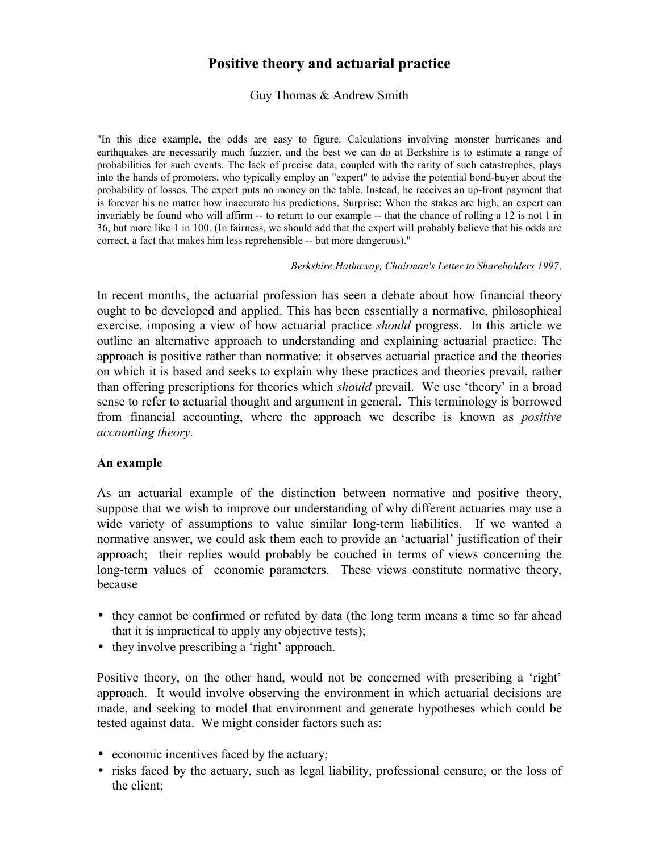# **Positive theory and actuarial practice**

Guy Thomas & Andrew Smith

"In this dice example, the odds are easy to figure. Calculations involving monster hurricanes and earthquakes are necessarily much fuzzier, and the best we can do at Berkshire is to estimate a range of probabilities for such events. The lack of precise data, coupled with the rarity of such catastrophes, plays into the hands of promoters, who typically employ an "expert" to advise the potential bond-buyer about the probability of losses. The expert puts no money on the table. Instead, he receives an up-front payment that is forever his no matter how inaccurate his predictions. Surprise: When the stakes are high, an expert can invariably be found who will affirm -- to return to our example -- that the chance of rolling a 12 is not 1 in 36, but more like 1 in 100. (In fairness, we should add that the expert will probably believe that his odds are correct, a fact that makes him less reprehensible -- but more dangerous)."

#### *Berkshire Hathaway, Chairman's Letter to Shareholders 1997*.

In recent months, the actuarial profession has seen a debate about how financial theory ought to be developed and applied. This has been essentially a normative, philosophical exercise, imposing a view of how actuarial practice *should* progress. In this article we outline an alternative approach to understanding and explaining actuarial practice. The approach is positive rather than normative: it observes actuarial practice and the theories on which it is based and seeks to explain why these practices and theories prevail, rather than offering prescriptions for theories which *should* prevail. We use 'theory' in a broad sense to refer to actuarial thought and argument in general. This terminology is borrowed from financial accounting, where the approach we describe is known as *positive accounting theory.* 

#### **An example**

As an actuarial example of the distinction between normative and positive theory, suppose that we wish to improve our understanding of why different actuaries may use a wide variety of assumptions to value similar long-term liabilities. If we wanted a normative answer, we could ask them each to provide an 'actuarial' justification of their approach; their replies would probably be couched in terms of views concerning the long-term values of economic parameters. These views constitute normative theory, because

- they cannot be confirmed or refuted by data (the long term means a time so far ahead that it is impractical to apply any objective tests);
- they involve prescribing a 'right' approach.

Positive theory, on the other hand, would not be concerned with prescribing a 'right' approach. It would involve observing the environment in which actuarial decisions are made, and seeking to model that environment and generate hypotheses which could be tested against data. We might consider factors such as:

- economic incentives faced by the actuary;
- risks faced by the actuary, such as legal liability, professional censure, or the loss of the client;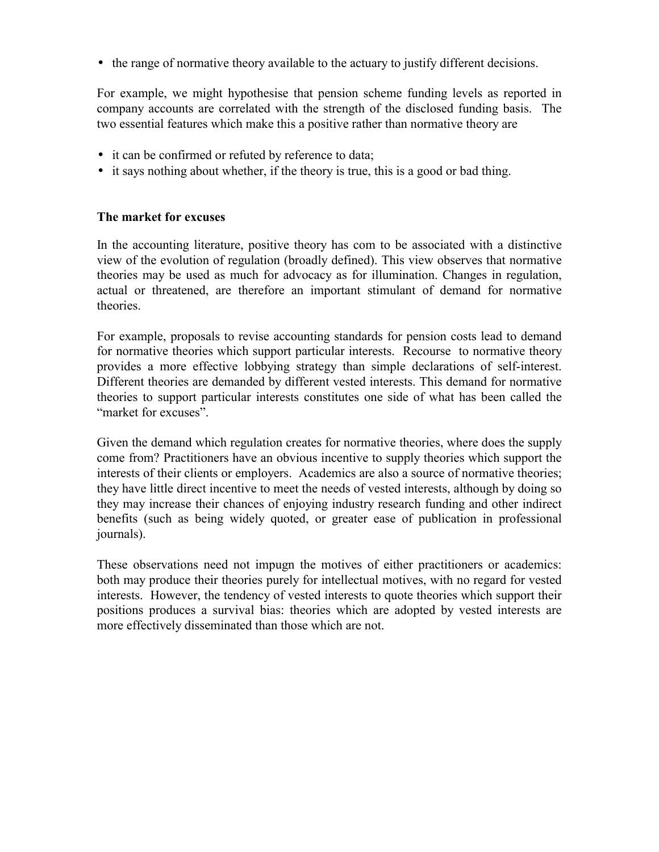• the range of normative theory available to the actuary to justify different decisions.

For example, we might hypothesise that pension scheme funding levels as reported in company accounts are correlated with the strength of the disclosed funding basis. The two essential features which make this a positive rather than normative theory are

- it can be confirmed or refuted by reference to data;
- it says nothing about whether, if the theory is true, this is a good or bad thing.

#### **The market for excuses**

In the accounting literature, positive theory has com to be associated with a distinctive view of the evolution of regulation (broadly defined). This view observes that normative theories may be used as much for advocacy as for illumination. Changes in regulation, actual or threatened, are therefore an important stimulant of demand for normative theories.

For example, proposals to revise accounting standards for pension costs lead to demand for normative theories which support particular interests. Recourse to normative theory provides a more effective lobbying strategy than simple declarations of self-interest. Different theories are demanded by different vested interests. This demand for normative theories to support particular interests constitutes one side of what has been called the "market for excuses".

Given the demand which regulation creates for normative theories, where does the supply come from? Practitioners have an obvious incentive to supply theories which support the interests of their clients or employers. Academics are also a source of normative theories; they have little direct incentive to meet the needs of vested interests, although by doing so they may increase their chances of enjoying industry research funding and other indirect benefits (such as being widely quoted, or greater ease of publication in professional journals).

These observations need not impugn the motives of either practitioners or academics: both may produce their theories purely for intellectual motives, with no regard for vested interests. However, the tendency of vested interests to quote theories which support their positions produces a survival bias: theories which are adopted by vested interests are more effectively disseminated than those which are not.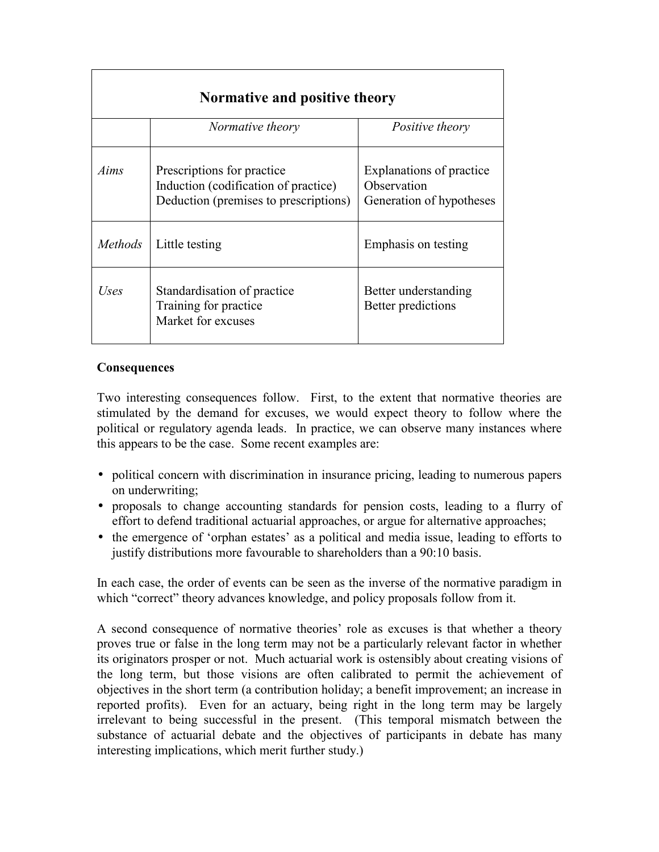| Normative and positive theory |                                                                                                             |                                                                     |
|-------------------------------|-------------------------------------------------------------------------------------------------------------|---------------------------------------------------------------------|
|                               | Normative theory                                                                                            | <i>Positive theory</i>                                              |
| Aims                          | Prescriptions for practice<br>Induction (codification of practice)<br>Deduction (premises to prescriptions) | Explanations of practice<br>Observation<br>Generation of hypotheses |
| <i>Methods</i>                | Little testing                                                                                              | Emphasis on testing                                                 |
| Uses                          | Standardisation of practice<br>Training for practice<br>Market for excuses                                  | Better understanding<br>Better predictions                          |

# **Consequences**

Two interesting consequences follow. First, to the extent that normative theories are stimulated by the demand for excuses, we would expect theory to follow where the political or regulatory agenda leads. In practice, we can observe many instances where this appears to be the case. Some recent examples are:

- political concern with discrimination in insurance pricing, leading to numerous papers on underwriting;
- proposals to change accounting standards for pension costs, leading to a flurry of effort to defend traditional actuarial approaches, or argue for alternative approaches;
- the emergence of 'orphan estates' as a political and media issue, leading to efforts to justify distributions more favourable to shareholders than a 90:10 basis.

In each case, the order of events can be seen as the inverse of the normative paradigm in which "correct" theory advances knowledge, and policy proposals follow from it.

A second consequence of normative theoriesí role as excuses is that whether a theory proves true or false in the long term may not be a particularly relevant factor in whether its originators prosper or not. Much actuarial work is ostensibly about creating visions of the long term, but those visions are often calibrated to permit the achievement of objectives in the short term (a contribution holiday; a benefit improvement; an increase in reported profits). Even for an actuary, being right in the long term may be largely irrelevant to being successful in the present. (This temporal mismatch between the substance of actuarial debate and the objectives of participants in debate has many interesting implications, which merit further study.)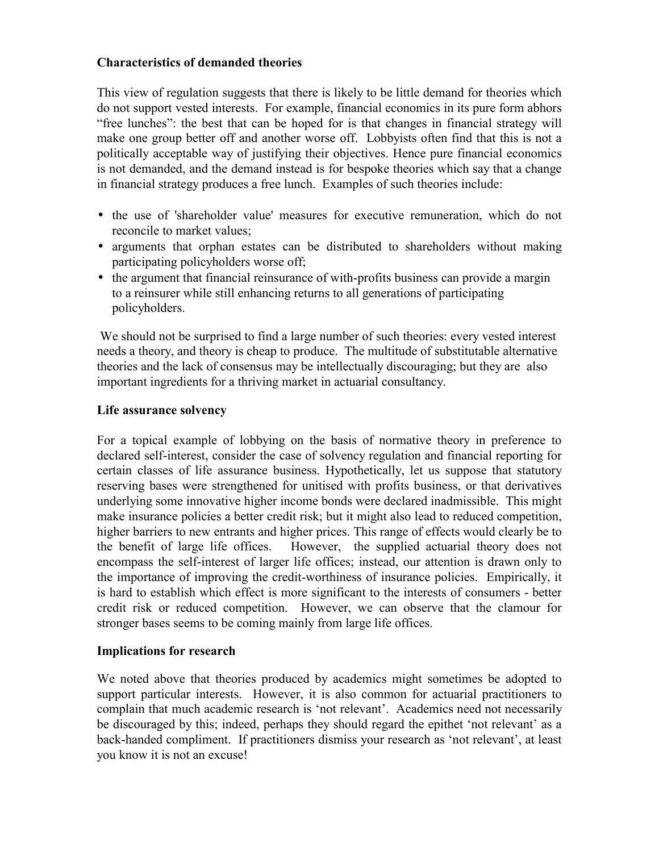## **Characteristics of demanded theories**

This view of regulation suggests that there is likely to be little demand for theories which do not support vested interests. For example, financial economics in its pure form abhors ìfree lunchesî: the best that can be hoped for is that changes in financial strategy will make one group better off and another worse off. Lobbyists often find that this is not a politically acceptable way of justifying their objectives. Hence pure financial economics is not demanded, and the demand instead is for bespoke theories which say that a change in financial strategy produces a free lunch. Examples of such theories include:

- the use of 'shareholder value' measures for executive remuneration, which do not reconcile to market values;
- arguments that orphan estates can be distributed to shareholders without making participating policyholders worse off;
- the argument that financial reinsurance of with-profits business can provide a margin to a reinsurer while still enhancing returns to all generations of participating policyholders.

 We should not be surprised to find a large number of such theories: every vested interest needs a theory, and theory is cheap to produce. The multitude of substitutable alternative theories and the lack of consensus may be intellectually discouraging; but they are also important ingredients for a thriving market in actuarial consultancy.

#### **Life assurance solvency**

For a topical example of lobbying on the basis of normative theory in preference to declared self-interest, consider the case of solvency regulation and financial reporting for certain classes of life assurance business. Hypothetically, let us suppose that statutory reserving bases were strengthened for unitised with profits business, or that derivatives underlying some innovative higher income bonds were declared inadmissible. This might make insurance policies a better credit risk; but it might also lead to reduced competition, higher barriers to new entrants and higher prices. This range of effects would clearly be to the benefit of large life offices. However, the supplied actuarial theory does not encompass the self-interest of larger life offices; instead, our attention is drawn only to the importance of improving the credit-worthiness of insurance policies. Empirically, it is hard to establish which effect is more significant to the interests of consumers - better credit risk or reduced competition. However, we can observe that the clamour for stronger bases seems to be coming mainly from large life offices.

#### **Implications for research**

We noted above that theories produced by academics might sometimes be adopted to support particular interests. However, it is also common for actuarial practitioners to complain that much academic research is 'not relevant'. Academics need not necessarily be discouraged by this; indeed, perhaps they should regard the epithet 'not relevant' as a back-handed compliment. If practitioners dismiss your research as 'not relevant', at least you know it is not an excuse!